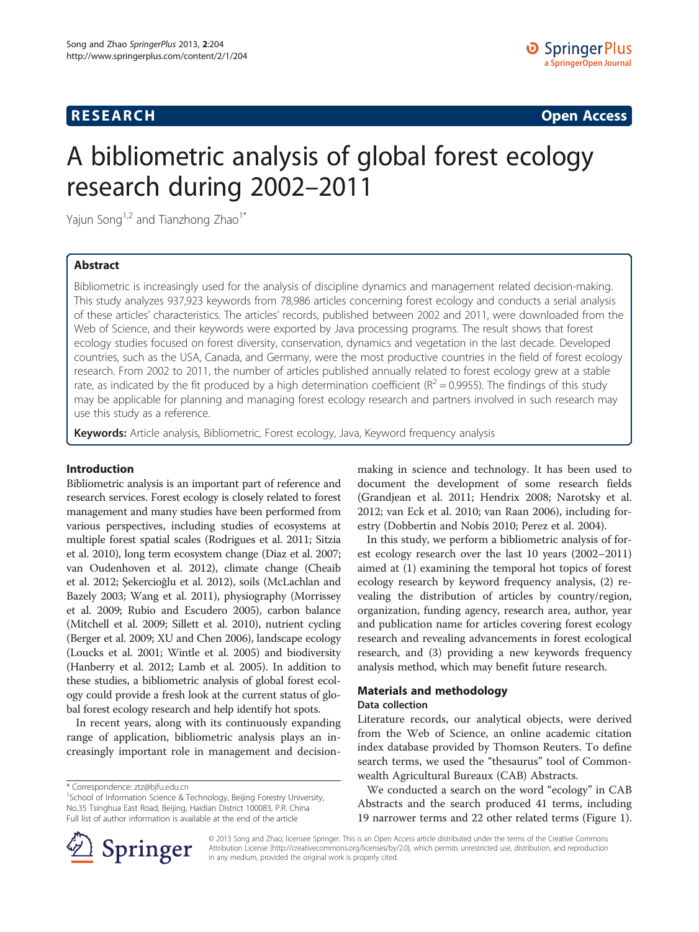# **RESEARCH RESEARCH CONSUMING ACCESS**

# A bibliometric analysis of global forest ecology research during 2002–2011

Yajun Song<sup>1,2</sup> and Tianzhong Zhao<sup>1\*</sup>

# Abstract

Bibliometric is increasingly used for the analysis of discipline dynamics and management related decision-making. This study analyzes 937,923 keywords from 78,986 articles concerning forest ecology and conducts a serial analysis of these articles' characteristics. The articles' records, published between 2002 and 2011, were downloaded from the Web of Science, and their keywords were exported by Java processing programs. The result shows that forest ecology studies focused on forest diversity, conservation, dynamics and vegetation in the last decade. Developed countries, such as the USA, Canada, and Germany, were the most productive countries in the field of forest ecology research. From 2002 to 2011, the number of articles published annually related to forest ecology grew at a stable rate, as indicated by the fit produced by a high determination coefficient ( $R^2$  = 0.9955). The findings of this study may be applicable for planning and managing forest ecology research and partners involved in such research may use this study as a reference.

Keywords: Article analysis, Bibliometric, Forest ecology, Java, Keyword frequency analysis

# Introduction

Bibliometric analysis is an important part of reference and research services. Forest ecology is closely related to forest management and many studies have been performed from various perspectives, including studies of ecosystems at multiple forest spatial scales (Rodrigues et al. [2011;](#page-8-0) Sitzia et al. [2010](#page-8-0)), long term ecosystem change (Diaz et al. [2007](#page-8-0); van Oudenhoven et al. [2012](#page-8-0)), climate change (Cheaib et al. [2012;](#page-8-0) Şekercioğlu et al. [2012](#page-8-0)), soils (McLachlan and Bazely [2003](#page-8-0); Wang et al. [2011](#page-8-0)), physiography (Morrissey et al. [2009;](#page-8-0) Rubio and Escudero [2005\)](#page-8-0), carbon balance (Mitchell et al. [2009;](#page-8-0) Sillett et al. [2010](#page-8-0)), nutrient cycling (Berger et al. [2009](#page-8-0); XU and Chen [2006](#page-8-0)), landscape ecology (Loucks et al. [2001](#page-8-0); Wintle et al. [2005](#page-8-0)) and biodiversity (Hanberry et al. [2012;](#page-8-0) Lamb et al. [2005](#page-8-0)). In addition to these studies, a bibliometric analysis of global forest ecology could provide a fresh look at the current status of global forest ecology research and help identify hot spots.

In recent years, along with its continuously expanding range of application, bibliometric analysis plays an increasingly important role in management and decisionmaking in science and technology. It has been used to document the development of some research fields (Grandjean et al. [2011;](#page-8-0) Hendrix [2008;](#page-8-0) Narotsky et al. [2012](#page-8-0); van Eck et al. [2010;](#page-8-0) van Raan [2006\)](#page-8-0), including forestry (Dobbertin and Nobis [2010](#page-8-0); Perez et al. [2004\)](#page-8-0).

In this study, we perform a bibliometric analysis of forest ecology research over the last 10 years (2002–2011) aimed at (1) examining the temporal hot topics of forest ecology research by keyword frequency analysis, (2) revealing the distribution of articles by country/region, organization, funding agency, research area, author, year and publication name for articles covering forest ecology research and revealing advancements in forest ecological research, and (3) providing a new keywords frequency analysis method, which may benefit future research.

## Materials and methodology

# Data collection

Literature records, our analytical objects, were derived from the Web of Science, an online academic citation index database provided by Thomson Reuters. To define search terms, we used the "thesaurus" tool of Commonwealth Agricultural Bureaux (CAB) Abstracts.

We conducted a search on the word "ecology" in CAB Abstracts and the search produced 41 terms, including 19 narrower terms and 22 other related terms (Figure [1](#page-1-0)).



© 2013 Song and Zhao; licensee Springer. This is an Open Access article distributed under the terms of the Creative Commons Attribution License [\(http://creativecommons.org/licenses/by/2.0\)](http://creativecommons.org/licenses/by/2.0), which permits unrestricted use, distribution, and reproduction in any medium, provided the original work is properly cited.

<sup>\*</sup> Correspondence: [ztz@bjfu.edu.cn](mailto:ztz@bjfu.edu.cn) <sup>1</sup>

<sup>&</sup>lt;sup>1</sup>School of Information Science & Technology, Beijing Forestry University, No.35 Tsinghua East Road, Beijing, Haidian District 100083, P.R. China Full list of author information is available at the end of the article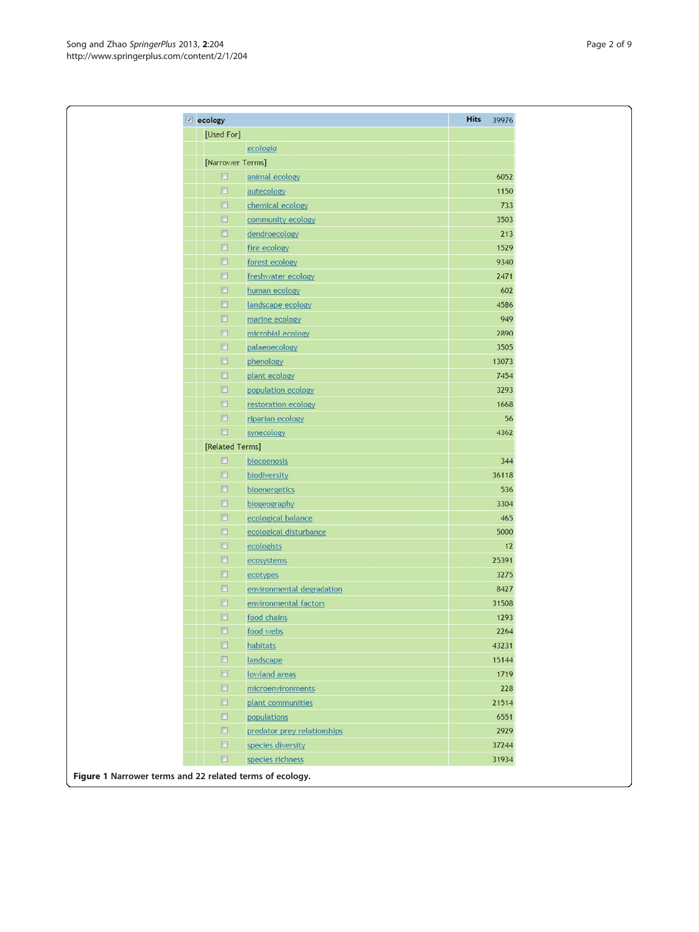<span id="page-1-0"></span>

| $\sqrt{2}$ ecology   |                             | <b>Hits</b><br>39976 |
|----------------------|-----------------------------|----------------------|
| [Used For]           |                             |                      |
|                      | ecologia                    |                      |
|                      | [Narrower Terms]            |                      |
| $\Box$               | animal ecology              | 6052                 |
| $\Box$               | autecology                  | 1150                 |
| $\qquad \qquad \Box$ | chemical ecology            | 733                  |
| $\qquad \qquad \Box$ | community ecology           | 3503                 |
| $\Box$               | dendroecology               | 213                  |
| $\qquad \qquad \Box$ | fire ecology                | 1529                 |
| $\Box$               | forest ecology              | 9340                 |
| $\Box$               | freshwater ecology          | 2471                 |
| $\qquad \qquad \Box$ | human ecology               | 602                  |
| $\Box$               | landscape ecology           | 4586                 |
| $\Box$               | marine ecology              | 949                  |
| $\Box$               | microbial ecology           | 2890                 |
| $\qquad \qquad \Box$ | palaeoecology               | 3505                 |
| $\qquad \qquad \Box$ | phenology                   | 13073                |
| $\qquad \qquad \Box$ | plant ecology               | 7454                 |
| $\Box$               | population ecology          | 3293                 |
| $\Box$               | restoration ecology         | 1668                 |
| $\Box$               | riparian ecology            | 56                   |
| $\Box$               | synecology                  | 4362                 |
|                      | [Related Terms]             |                      |
| $\Box$               | biocoenosis                 | 344                  |
| $\qquad \qquad \Box$ | biodiversity                | 36118                |
| $\Box$               | bioenergetics               | 536                  |
| $\qquad \qquad \Box$ | biogeography                | 3304                 |
| $\Box$               | ecological balance          | 465                  |
| $\Box$               | ecological disturbance      | 5000                 |
| $\Box$               | ecologists                  | 12                   |
| $\Box$               | ecosystems                  | 25391                |
| $\Box$               | ecotypes                    | 3275                 |
| $\Box$               | environmental degradation   | 8427                 |
| $\Box$               | environmental factors       | 31508                |
| $\Box$               | food chains                 | 1293                 |
| $\Box$               | food webs                   | 2264                 |
| $\Box$               | habitats                    | 43231                |
| $\Box$               | landscape                   | 15144                |
| $\Box$               | lowland areas               | 1719                 |
| $\Box$               | microenvironments           | 228                  |
| $\Box$               | plant communities           | 21514                |
| $\Box$               | populations                 | 6551                 |
| $\qquad \qquad \Box$ | predator prey relationships | 2929                 |
| $\Box$               | species diversity           | 37244                |
|                      | $\Box$<br>species richness  | 31934                |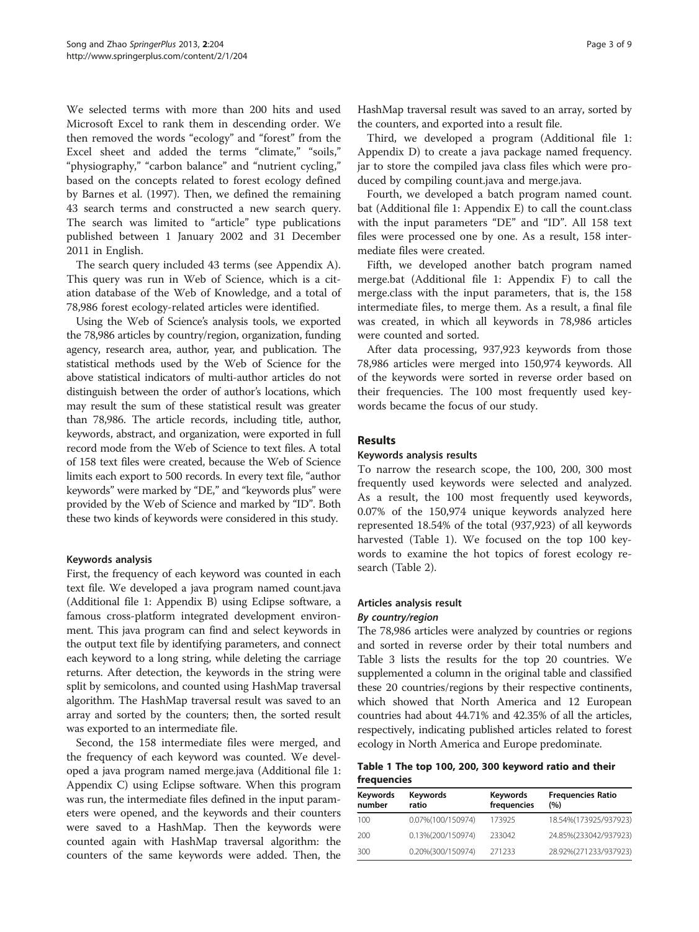We selected terms with more than 200 hits and used Microsoft Excel to rank them in descending order. We then removed the words "ecology" and "forest" from the Excel sheet and added the terms "climate," "soils," "physiography," "carbon balance" and "nutrient cycling," based on the concepts related to forest ecology defined by Barnes et al. [\(1997\)](#page-8-0). Then, we defined the remaining 43 search terms and constructed a new search query. The search was limited to "article" type publications published between 1 January 2002 and 31 December 2011 in English.

The search query included 43 terms (see [Appendix A](#page-8-0)). This query was run in Web of Science, which is a citation database of the Web of Knowledge, and a total of 78,986 forest ecology-related articles were identified.

Using the Web of Science's analysis tools, we exported the 78,986 articles by country/region, organization, funding agency, research area, author, year, and publication. The statistical methods used by the Web of Science for the above statistical indicators of multi-author articles do not distinguish between the order of author's locations, which may result the sum of these statistical result was greater than 78,986. The article records, including title, author, keywords, abstract, and organization, were exported in full record mode from the Web of Science to text files. A total of 158 text files were created, because the Web of Science limits each export to 500 records. In every text file, "author keywords" were marked by "DE," and "keywords plus" were provided by the Web of Science and marked by "ID". Both these two kinds of keywords were considered in this study.

## Keywords analysis

First, the frequency of each keyword was counted in each text file. We developed a java program named count.java (Additional file [1](#page-8-0): Appendix B) using Eclipse software, a famous cross-platform integrated development environment. This java program can find and select keywords in the output text file by identifying parameters, and connect each keyword to a long string, while deleting the carriage returns. After detection, the keywords in the string were split by semicolons, and counted using HashMap traversal algorithm. The HashMap traversal result was saved to an array and sorted by the counters; then, the sorted result was exported to an intermediate file.

Second, the 158 intermediate files were merged, and the frequency of each keyword was counted. We developed a java program named merge.java (Additional file [1](#page-8-0): Appendix C) using Eclipse software. When this program was run, the intermediate files defined in the input parameters were opened, and the keywords and their counters were saved to a HashMap. Then the keywords were counted again with HashMap traversal algorithm: the counters of the same keywords were added. Then, the HashMap traversal result was saved to an array, sorted by the counters, and exported into a result file.

Third, we developed a program (Additional file [1](#page-8-0): Appendix D) to create a java package named frequency. jar to store the compiled java class files which were produced by compiling count.java and merge.java.

Fourth, we developed a batch program named count. bat (Additional file [1](#page-8-0): Appendix E) to call the count.class with the input parameters "DE" and "ID". All 158 text files were processed one by one. As a result, 158 intermediate files were created.

Fifth, we developed another batch program named merge.bat (Additional file [1](#page-8-0): Appendix F) to call the merge.class with the input parameters, that is, the 158 intermediate files, to merge them. As a result, a final file was created, in which all keywords in 78,986 articles were counted and sorted.

After data processing, 937,923 keywords from those 78,986 articles were merged into 150,974 keywords. All of the keywords were sorted in reverse order based on their frequencies. The 100 most frequently used keywords became the focus of our study.

## Results

# Keywords analysis results

To narrow the research scope, the 100, 200, 300 most frequently used keywords were selected and analyzed. As a result, the 100 most frequently used keywords, 0.07% of the 150,974 unique keywords analyzed here represented 18.54% of the total (937,923) of all keywords harvested (Table 1). We focused on the top 100 keywords to examine the hot topics of forest ecology research (Table [2\)](#page-3-0).

## Articles analysis result

## By country/region

The 78,986 articles were analyzed by countries or regions and sorted in reverse order by their total numbers and Table [3](#page-4-0) lists the results for the top 20 countries. We supplemented a column in the original table and classified these 20 countries/regions by their respective continents, which showed that North America and 12 European countries had about 44.71% and 42.35% of all the articles, respectively, indicating published articles related to forest ecology in North America and Europe predominate.

Table 1 The top 100, 200, 300 keyword ratio and their frequencies

| Keywords<br>number | <b>Keywords</b><br>ratio | Keywords<br>frequencies | <b>Frequencies Ratio</b><br>(%) |
|--------------------|--------------------------|-------------------------|---------------------------------|
| 100                | 0.07%(100/150974)        | 173925                  | 18.54%(173925/937923)           |
| 200                | 0.13%(200/150974)        | 233042                  | 24.85%(233042/937923)           |
| 300                | 0.20%(300/150974)        | 271233                  | 28.92%(271233/937923)           |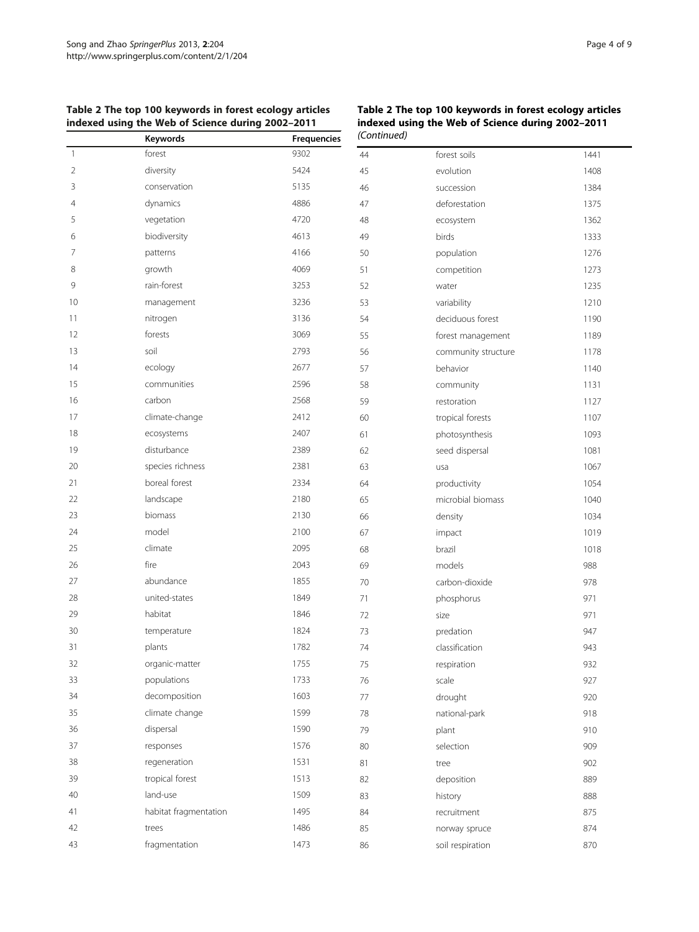|                | indexed using the Web of Science during 2002-2011 |                    | indexed using the Web of Science during 2002-20<br>(Continued) |                     |      |
|----------------|---------------------------------------------------|--------------------|----------------------------------------------------------------|---------------------|------|
|                | Keywords                                          | <b>Frequencies</b> |                                                                |                     |      |
| $\mathbf{1}$   | forest                                            | 9302               | 44                                                             | forest soils        | 144  |
| $\overline{2}$ | diversity                                         | 5424               | 45                                                             | evolution           | 140  |
| 3              | conservation                                      | 5135               | 46                                                             | succession          | 1384 |
| 4              | dynamics                                          | 4886               | 47                                                             | deforestation       | 137  |
| 5              | vegetation                                        | 4720               | 48                                                             | ecosystem           | 1362 |
| 6              | biodiversity                                      | 4613               | 49                                                             | birds               | 1333 |
| 7              | patterns                                          | 4166               | 50                                                             | population          | 1276 |
| 8              | growth                                            | 4069               | 51                                                             | competition         | 127  |
| 9              | rain-forest                                       | 3253               | 52                                                             | water               | 123! |
| 10             | management                                        | 3236               | 53                                                             | variability         | 121( |
| 11             | nitrogen                                          | 3136               | 54                                                             | deciduous forest    | 119  |
| 12             | forests                                           | 3069               | 55                                                             | forest management   | 1189 |
| 13             | soil                                              | 2793               | 56                                                             | community structure | 1178 |
| 14             | ecology                                           | 2677               | 57                                                             | behavior            | 114( |
| 15             | communities                                       | 2596               | 58                                                             | community           | 113  |
| 16             | carbon                                            | 2568               | 59                                                             | restoration         | 112  |
| 17             | climate-change                                    | 2412               | 60                                                             | tropical forests    | 110  |
| 18             | ecosystems                                        | 2407               | 61                                                             | photosynthesis      | 109  |
| 19             | disturbance                                       | 2389               | 62                                                             | seed dispersal      | 108  |
| 20             | species richness                                  | 2381               | 63                                                             | usa                 | 106  |
| 21             | boreal forest                                     | 2334               | 64                                                             | productivity        | 1054 |
| 22             | landscape                                         | 2180               | 65                                                             | microbial biomass   | 104( |
| 23             | biomass                                           | 2130               | 66                                                             | density             | 1034 |
| 24             | model                                             | 2100               | 67                                                             | impact              | 1019 |
| 25             | climate                                           | 2095               | 68                                                             | brazil              | 1018 |
| 26             | fire                                              | 2043               | 69                                                             | models              | 988  |
| 27             | abundance                                         | 1855               | 70                                                             | carbon-dioxide      | 978  |
| 28             | united-states                                     | 1849               | 71                                                             | phosphorus          | 971  |
| 29             | habitat                                           | 1846               | 72                                                             | size                | 971  |
| 30             | temperature                                       | 1824               | 73                                                             | predation           | 947  |
| 31             | plants                                            | 1782               | 74                                                             | classification      | 943  |
| 32             | organic-matter                                    | 1755               | 75                                                             | respiration         | 932  |
| 33             | populations                                       | 1733               | 76                                                             | scale               | 927  |
| 34             | decomposition                                     | 1603               | 77                                                             | drought             | 920  |
| 35             | climate change                                    | 1599               | 78                                                             | national-park       | 918  |
| 36             | dispersal                                         | 1590               | 79                                                             | plant               | 910  |
| 37             | responses                                         | 1576               | 80                                                             | selection           | 909  |
| 38             | regeneration                                      | 1531               | 81                                                             | tree                | 902  |
| 39             | tropical forest                                   | 1513               | 82                                                             | deposition          | 889  |
| 40             | land-use                                          | 1509               | 83                                                             | history             | 888  |
| 41             | habitat fragmentation                             | 1495               | 84                                                             | recruitment         | 875  |
| 42             | trees                                             | 1486               | 85                                                             | norway spruce       | 874  |
| 43             | fragmentation                                     | 1473               | 86                                                             | soil respiration    | 870  |
|                |                                                   |                    |                                                                |                     |      |

# <span id="page-3-0"></span>Table 2 The top 100 keywords in forest ecology articles

Table 2 The top 100 keywords in forest ecology articles indexed using the Web of Science during 2002–2011

| indexed using the Web of Science during 2002–2011<br>'Continued) |                     |      |  |  |
|------------------------------------------------------------------|---------------------|------|--|--|
| 44                                                               | forest soils        | 1441 |  |  |
| 45                                                               | evolution           | 1408 |  |  |
| 46                                                               | succession          | 1384 |  |  |
| 47                                                               | deforestation       | 1375 |  |  |
| 48                                                               | ecosystem           | 1362 |  |  |
| 49                                                               | birds               | 1333 |  |  |
| 50                                                               | population          | 1276 |  |  |
| 51                                                               | competition         | 1273 |  |  |
| 52                                                               | water               | 1235 |  |  |
| 53                                                               | variability         | 1210 |  |  |
| 54                                                               | deciduous forest    | 1190 |  |  |
| 55                                                               | forest management   | 1189 |  |  |
| 56                                                               | community structure | 1178 |  |  |
| 57                                                               | behavior            | 1140 |  |  |
| 58                                                               | community           | 1131 |  |  |
| 59                                                               | restoration         | 1127 |  |  |
| 60                                                               | tropical forests    | 1107 |  |  |
| 61                                                               | photosynthesis      | 1093 |  |  |
| 62                                                               | seed dispersal      | 1081 |  |  |
| 63                                                               | usa                 | 1067 |  |  |
| 64                                                               | productivity        | 1054 |  |  |
| 65                                                               | microbial biomass   | 1040 |  |  |
| 66                                                               | density             | 1034 |  |  |
| 67                                                               | impact              | 1019 |  |  |
| 68                                                               | brazil              | 1018 |  |  |
| 69                                                               | models              | 988  |  |  |
| 70                                                               | carbon-dioxide      | 978  |  |  |
| 71                                                               | phosphorus          | 971  |  |  |
| 72                                                               | size                | 971  |  |  |
| 73                                                               | predation           | 947  |  |  |
| 74                                                               | classification      | 943  |  |  |
| 75                                                               | respiration         | 932  |  |  |
| 76                                                               | scale               | 927  |  |  |
| 77                                                               | drought             | 920  |  |  |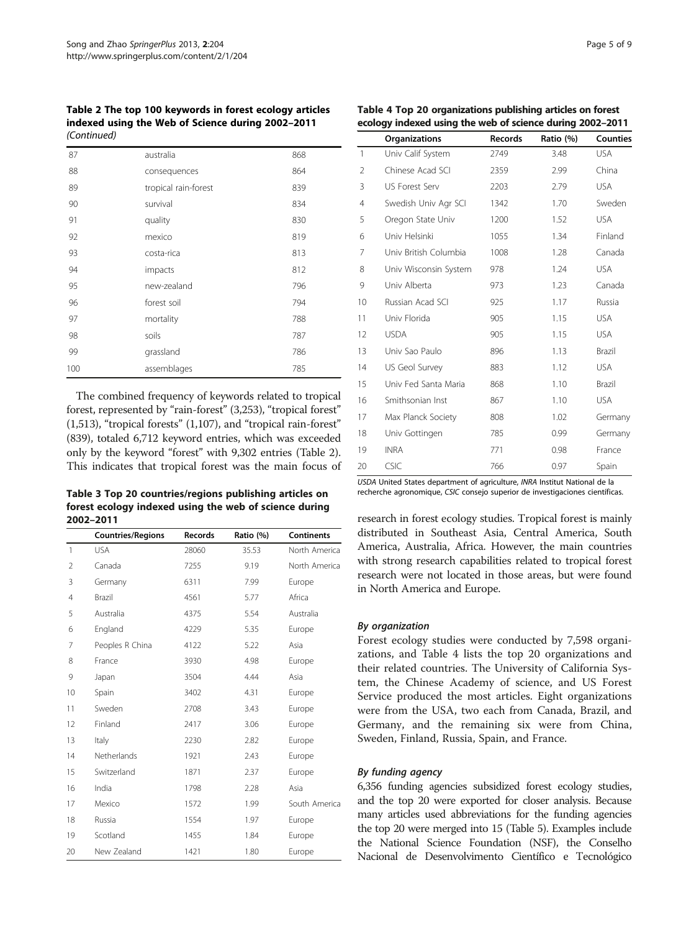<span id="page-4-0"></span>Table 2 The top 100 keywords in forest ecology articles indexed using the Web of Science during 2002–2011 (Continued)

| 87  | australia            | 868 |
|-----|----------------------|-----|
| 88  | consequences         | 864 |
| 89  | tropical rain-forest | 839 |
| 90  | survival             | 834 |
| 91  | quality              | 830 |
| 92  | mexico               | 819 |
| 93  | costa-rica           | 813 |
| 94  | impacts              | 812 |
| 95  | new-zealand          | 796 |
| 96  | forest soil          | 794 |
| 97  | mortality            | 788 |
| 98  | soils                | 787 |
| 99  | grassland            | 786 |
| 100 | assemblages          | 785 |

The combined frequency of keywords related to tropical forest, represented by "rain-forest" (3,253), "tropical forest" (1,513), "tropical forests" (1,107), and "tropical rain-forest" (839), totaled 6,712 keyword entries, which was exceeded only by the keyword "forest" with 9,302 entries (Table [2](#page-3-0)). This indicates that tropical forest was the main focus of

Table 3 Top 20 countries/regions publishing articles on forest ecology indexed using the web of science during 2002–2011

|                | <b>Countries/Regions</b> | <b>Records</b> | Ratio (%) | <b>Continents</b> |
|----------------|--------------------------|----------------|-----------|-------------------|
| $\mathbf{1}$   | <b>USA</b>               | 28060          | 35.53     | North America     |
| $\overline{2}$ | Canada                   | 7255           | 9.19      | North America     |
| 3              | Germany                  | 6311           | 7.99      | Europe            |
| 4              | Brazil                   | 4561           | 5.77      | Africa            |
| 5              | Australia                | 4375           | 5.54      | Australia         |
| 6              | England                  | 4229           | 5.35      | Europe            |
| 7              | Peoples R China          | 4122           | 5.22      | Asia              |
| 8              | France                   | 3930           | 4.98      | Europe            |
| 9              | Japan                    | 3504           | 4.44      | Asia              |
| 10             | Spain                    | 3402           | 4.31      | Europe            |
| 11             | Sweden                   | 2708           | 3.43      | Europe            |
| 12             | Finland                  | 2417           | 3.06      | Europe            |
| 13             | Italy                    | 2230           | 2.82      | Europe            |
| 14             | Netherlands              | 1921           | 2.43      | Europe            |
| 15             | Switzerland              | 1871           | 2.37      | Europe            |
| 16             | India                    | 1798           | 2.28      | Asia              |
| 17             | Mexico                   | 1572           | 1.99      | South America     |
| 18             | Russia                   | 1554           | 1.97      | Europe            |
| 19             | Scotland                 | 1455           | 1.84      | Europe            |
| 20             | New Zealand              | 1421           | 1.80      | Europe            |

|                | <b>Organizations</b>  | <b>Records</b> | Ratio (%) | <b>Counties</b> |
|----------------|-----------------------|----------------|-----------|-----------------|
| $\mathbf{1}$   | Univ Calif System     | 2749           | 3.48      | <b>USA</b>      |
| $\overline{2}$ | Chinese Acad SCI      | 2359           | 2.99      | China           |
| 3              | US Forest Serv        | 2203           | 2.79      | <b>USA</b>      |
| 4              | Swedish Univ Agr SCI  | 1342           | 1.70      | Sweden          |
| 5              | Oregon State Univ     | 1200           | 1.52      | <b>USA</b>      |
| 6              | Univ Helsinki         | 1055           | 1.34      | Finland         |
| 7              | Univ British Columbia | 1008           | 1.28      | Canada          |
| 8              | Univ Wisconsin System | 978            | 1.24      | <b>USA</b>      |
| 9              | Univ Alberta          | 973            | 1.23      | Canada          |
| 10             | Russian Acad SCI      | 925            | 1.17      | Russia          |
| 11             | Univ Florida          | 905            | 1.15      | <b>USA</b>      |
| 12             | <b>USDA</b>           | 905            | 1.15      | <b>USA</b>      |
| 13             | Univ Sao Paulo        | 896            | 1.13      | Brazil          |
| 14             | US Geol Survey        | 883            | 1.12      | <b>USA</b>      |
| 15             | Univ Fed Santa Maria  | 868            | 1.10      | Brazil          |
| 16             | Smithsonian Inst      | 867            | 1.10      | <b>USA</b>      |
| 17             | Max Planck Society    | 808            | 1.02      | Germany         |
| 18             | Univ Gottingen        | 785            | 0.99      | Germany         |
| 19             | <b>INRA</b>           | 771            | 0.98      | France          |
| 20             | CSIC                  | 766            | 0.97      | Spain           |

USDA United States department of agriculture, INRA Institut National de la recherche agronomique, CSIC consejo superior de investigaciones científicas.

research in forest ecology studies. Tropical forest is mainly distributed in Southeast Asia, Central America, South America, Australia, Africa. However, the main countries with strong research capabilities related to tropical forest research were not located in those areas, but were found in North America and Europe.

## By organization

Forest ecology studies were conducted by 7,598 organizations, and Table 4 lists the top 20 organizations and their related countries. The University of California System, the Chinese Academy of science, and US Forest Service produced the most articles. Eight organizations were from the USA, two each from Canada, Brazil, and Germany, and the remaining six were from China, Sweden, Finland, Russia, Spain, and France.

## By funding agency

6,356 funding agencies subsidized forest ecology studies, and the top 20 were exported for closer analysis. Because many articles used abbreviations for the funding agencies the top 20 were merged into 15 (Table [5\)](#page-5-0). Examples include the National Science Foundation (NSF), the Conselho Nacional de Desenvolvimento Científico e Tecnológico

Table 4 Top 20 organizations publishing articles on forest ecology indexed using the web of science during 2002–2011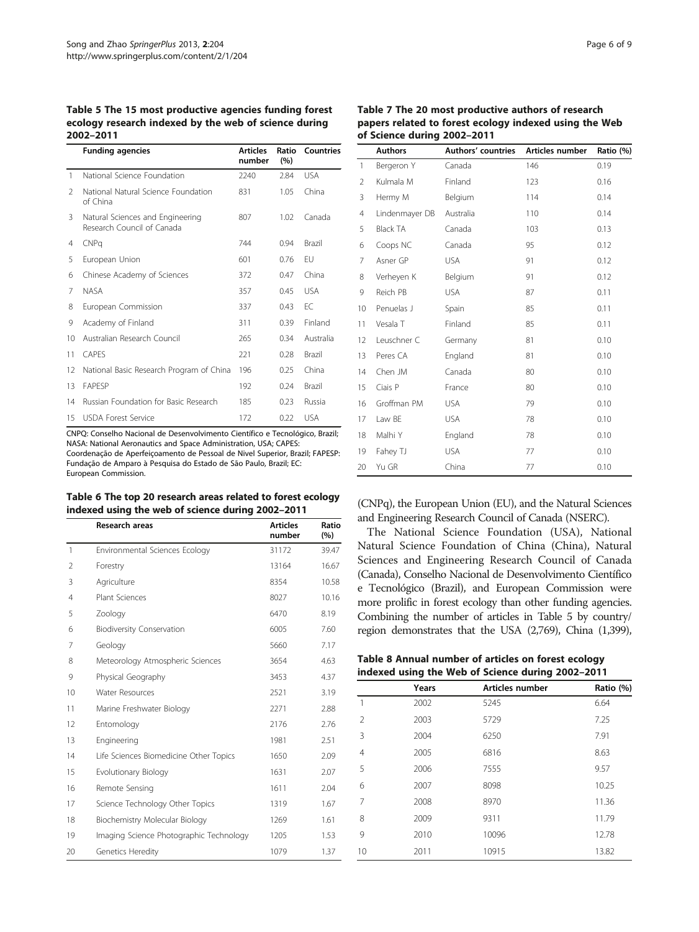<span id="page-5-0"></span>Table 5 The 15 most productive agencies funding forest ecology research indexed by the web of science during 2002–2011

|               | <b>Funding agencies</b>                                        | <b>Articles</b><br>number | Ratio<br>(%) | Countries     |
|---------------|----------------------------------------------------------------|---------------------------|--------------|---------------|
| 1             | National Science Foundation                                    | 2240                      | 2.84         | <b>USA</b>    |
| $\mathcal{L}$ | National Natural Science Foundation<br>of China                | 831                       | 1.05         | China         |
| 3             | Natural Sciences and Engineering<br>Research Council of Canada | 807                       | 1.02         | Canada        |
| 4             | CNPa                                                           | 744                       | 0.94         | <b>Brazil</b> |
| 5             | European Union                                                 | 601                       | 0.76         | FU            |
| 6             | Chinese Academy of Sciences                                    | 372                       | 0.47         | China         |
| 7             | <b>NASA</b>                                                    | 357                       | 0.45         | <b>USA</b>    |
| 8             | European Commission                                            | 337                       | 0.43         | FC            |
| 9             | Academy of Finland                                             | 311                       | 0.39         | Finland       |
| 10            | Australian Research Council                                    | 265                       | 0.34         | Australia     |
| 11            | CAPES                                                          | 221                       | 0.28         | <b>Brazil</b> |
| 12            | National Basic Research Program of China                       | 196                       | 0.25         | China         |
| 13            | <b>FAPESP</b>                                                  | 192                       | 0.24         | <b>Brazil</b> |
| 14            | Russian Foundation for Basic Research                          | 185                       | 0.23         | Russia        |
| 15            | <b>USDA Forest Service</b>                                     | 172                       | 0.22         | <b>USA</b>    |

CNPQ: Conselho Nacional de Desenvolvimento Científico e Tecnológico, Brazil; NASA: National Aeronautics and Space Administration, USA; CAPES: Coordenação de Aperfeiçoamento de Pessoal de Nivel Superior, Brazil; FAPESP: Fundação de Amparo à Pesquisa do Estado de São Paulo, Brazil; EC: European Commission.

## Table 6 The top 20 research areas related to forest ecology indexed using the web of science during 2002–2011

|                | Research areas                          | <b>Articles</b><br>number | Ratio<br>(%) |
|----------------|-----------------------------------------|---------------------------|--------------|
| $\mathbf{1}$   | Environmental Sciences Ecology          | 31172                     | 39.47        |
| $\mathfrak{D}$ | Forestry                                | 13164                     | 16.67        |
| 3              | Agriculture                             | 8354                      | 10.58        |
| 4              | Plant Sciences                          | 8027                      | 10.16        |
| 5              | Zoology                                 | 6470                      | 8.19         |
| 6              | <b>Biodiversity Conservation</b>        | 6005                      | 7.60         |
| 7              | Geology                                 | 5660                      | 7.17         |
| 8              | Meteorology Atmospheric Sciences        | 3654                      | 4.63         |
| 9              | Physical Geography                      | 3453                      | 4.37         |
| 10             | <b>Water Resources</b>                  | 2521                      | 3.19         |
| 11             | Marine Freshwater Biology               | 2271                      | 2.88         |
| 12             | Entomology                              | 2176                      | 2.76         |
| 13             | Engineering                             | 1981                      | 2.51         |
| 14             | Life Sciences Biomedicine Other Topics  | 1650                      | 2.09         |
| 15             | Evolutionary Biology                    | 1631                      | 2.07         |
| 16             | Remote Sensing                          | 1611                      | 2.04         |
| 17             | Science Technology Other Topics         | 1319                      | 1.67         |
| 18             | Biochemistry Molecular Biology          | 1269                      | 1.61         |
| 19             | Imaging Science Photographic Technology | 1205                      | 1.53         |
| 20             | Genetics Heredity                       | 1079                      | 1.37         |

Table 7 The 20 most productive authors of research papers related to forest ecology indexed using the Web of Science during 2002–2011

|                | <b>Authors</b>  | <b>Authors' countries</b> | Articles number | Ratio (%) |
|----------------|-----------------|---------------------------|-----------------|-----------|
| 1              | Bergeron Y      | Canada                    | 146             | 0.19      |
| 2              | Kulmala M       | Finland                   | 123             | 0.16      |
| 3              | Hermy M         | Belgium                   | 114             | 0.14      |
| $\overline{4}$ | Lindenmayer DB  | Australia                 | 110             | 0.14      |
| 5              | <b>Black TA</b> | Canada                    | 103             | 0.13      |
| 6              | Coops NC        | Canada                    | 95              | 0.12      |
| 7              | Asner GP        | <b>USA</b>                | 91              | 0.12      |
| 8              | Verheyen K      | Belgium                   | 91              | 0.12      |
| 9              | Reich PB        | <b>USA</b>                | 87              | 0.11      |
| 10             | Penuelas J      | Spain                     | 85              | 0.11      |
| 11             | Vesala T        | Finland                   | 85              | 0.11      |
| 12             | Leuschner C     | Germany                   | 81              | 0.10      |
| 13             | Peres CA        | England                   | 81              | 0.10      |
| 14             | Chen JM         | Canada                    | 80              | 0.10      |
| 15             | Ciais P         | France                    | 80              | 0.10      |
| 16             | Groffman PM     | <b>USA</b>                | 79              | 0.10      |
| 17             | Law BE          | <b>USA</b>                | 78              | 0.10      |
| 18             | Malhi Y         | England                   | 78              | 0.10      |
| 19             | Fahey TJ        | <b>USA</b>                | 77              | 0.10      |
| 20             | Yu GR           | China                     | 77              | 0.10      |

(CNPq), the European Union (EU), and the Natural Sciences and Engineering Research Council of Canada (NSERC).

The National Science Foundation (USA), National Natural Science Foundation of China (China), Natural Sciences and Engineering Research Council of Canada (Canada), Conselho Nacional de Desenvolvimento Científico e Tecnológico (Brazil), and European Commission were more prolific in forest ecology than other funding agencies. Combining the number of articles in Table 5 by country/ region demonstrates that the USA (2,769), China (1,399),

|  |  | Table 8 Annual number of articles on forest ecology |
|--|--|-----------------------------------------------------|
|  |  | indexed using the Web of Science during 2002-2011   |

|                | Years | Articles number | Ratio (%) |
|----------------|-------|-----------------|-----------|
| 1              | 2002  | 5245            | 6.64      |
| $\overline{2}$ | 2003  | 5729            | 7.25      |
| 3              | 2004  | 6250            | 7.91      |
| $\overline{4}$ | 2005  | 6816            | 8.63      |
| 5              | 2006  | 7555            | 9.57      |
| 6              | 2007  | 8098            | 10.25     |
| 7              | 2008  | 8970            | 11.36     |
| 8              | 2009  | 9311            | 11.79     |
| 9              | 2010  | 10096           | 12.78     |
| 10             | 2011  | 10915           | 13.82     |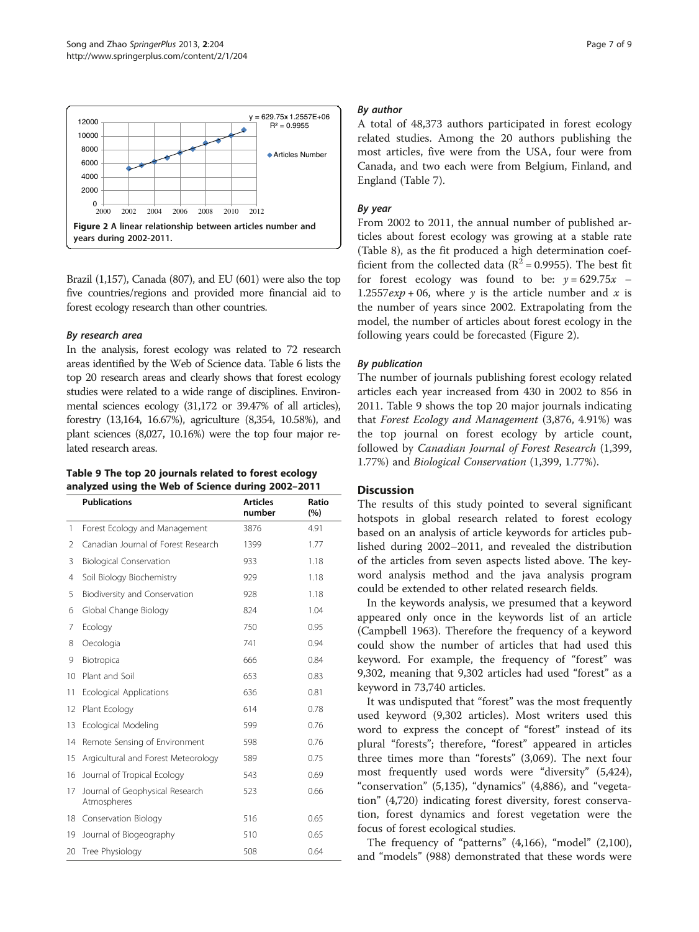

Brazil (1,157), Canada (807), and EU (601) were also the top five countries/regions and provided more financial aid to forest ecology research than other countries.

# By research area

In the analysis, forest ecology was related to 72 research areas identified by the Web of Science data. Table [6](#page-5-0) lists the top 20 research areas and clearly shows that forest ecology studies were related to a wide range of disciplines. Environmental sciences ecology (31,172 or 39.47% of all articles), forestry (13,164, 16.67%), agriculture (8,354, 10.58%), and plant sciences (8,027, 10.16%) were the top four major related research areas.

# Table 9 The top 20 journals related to forest ecology analyzed using the Web of Science during 2002–2011

|              | <b>Publications</b>                            | <b>Articles</b><br>number | Ratio<br>(%) |
|--------------|------------------------------------------------|---------------------------|--------------|
| $\mathbf{1}$ | Forest Ecology and Management                  | 3876                      | 4.91         |
| 2            | Canadian Journal of Forest Research            | 1399                      | 1.77         |
| 3            | <b>Biological Conservation</b>                 | 933                       | 1.18         |
| 4            | Soil Biology Biochemistry                      | 929                       | 1.18         |
| 5            | Biodiversity and Conservation                  | 928                       | 1.18         |
| 6            | Global Change Biology                          | 824                       | 1.04         |
| 7            | Ecology                                        | 750                       | 0.95         |
| 8            | Oecologia                                      | 741                       | 0.94         |
| 9            | Biotropica                                     | 666                       | 0.84         |
| 10           | Plant and Soil                                 | 653                       | 0.83         |
| 11           | <b>Ecological Applications</b>                 | 636                       | 0.81         |
| 12           | Plant Ecology                                  | 614                       | 0.78         |
| 13           | Ecological Modeling                            | 599                       | 0.76         |
| 14           | Remote Sensing of Environment                  | 598                       | 0.76         |
| 15           | Argicultural and Forest Meteorology            | 589                       | 0.75         |
| 16           | Journal of Tropical Ecology                    | 543                       | 0.69         |
| 17           | Journal of Geophysical Research<br>Atmospheres | 523                       | 0.66         |
| 18           | Conservation Biology                           | 516                       | 0.65         |
| 19           | Journal of Biogeography                        | 510                       | 0.65         |
| 20           | Tree Physiology                                | 508                       | 0.64         |

# By author

A total of 48,373 authors participated in forest ecology related studies. Among the 20 authors publishing the most articles, five were from the USA, four were from Canada, and two each were from Belgium, Finland, and England (Table [7](#page-5-0)).

# By year

From 2002 to 2011, the annual number of published articles about forest ecology was growing at a stable rate (Table [8](#page-5-0)), as the fit produced a high determination coefficient from the collected data ( $\mathbb{R}^2$  = 0.9955). The best fit for forest ecology was found to be:  $y = 629.75x$  – 1.2557 $exp + 06$ , where y is the article number and x is the number of years since 2002. Extrapolating from the model, the number of articles about forest ecology in the following years could be forecasted (Figure 2).

# By publication

The number of journals publishing forest ecology related articles each year increased from 430 in 2002 to 856 in 2011. Table 9 shows the top 20 major journals indicating that Forest Ecology and Management (3,876, 4.91%) was the top journal on forest ecology by article count, followed by Canadian Journal of Forest Research (1,399, 1.77%) and Biological Conservation (1,399, 1.77%).

# **Discussion**

The results of this study pointed to several significant hotspots in global research related to forest ecology based on an analysis of article keywords for articles published during 2002–2011, and revealed the distribution of the articles from seven aspects listed above. The keyword analysis method and the java analysis program could be extended to other related research fields.

In the keywords analysis, we presumed that a keyword appeared only once in the keywords list of an article (Campbell [1963](#page-8-0)). Therefore the frequency of a keyword could show the number of articles that had used this keyword. For example, the frequency of "forest" was 9,302, meaning that 9,302 articles had used "forest" as a keyword in 73,740 articles.

It was undisputed that "forest" was the most frequently used keyword (9,302 articles). Most writers used this word to express the concept of "forest" instead of its plural "forests"; therefore, "forest" appeared in articles three times more than "forests" (3,069). The next four most frequently used words were "diversity" (5,424), "conservation" (5,135), "dynamics" (4,886), and "vegetation" (4,720) indicating forest diversity, forest conservation, forest dynamics and forest vegetation were the focus of forest ecological studies.

The frequency of "patterns" (4,166), "model" (2,100), and "models" (988) demonstrated that these words were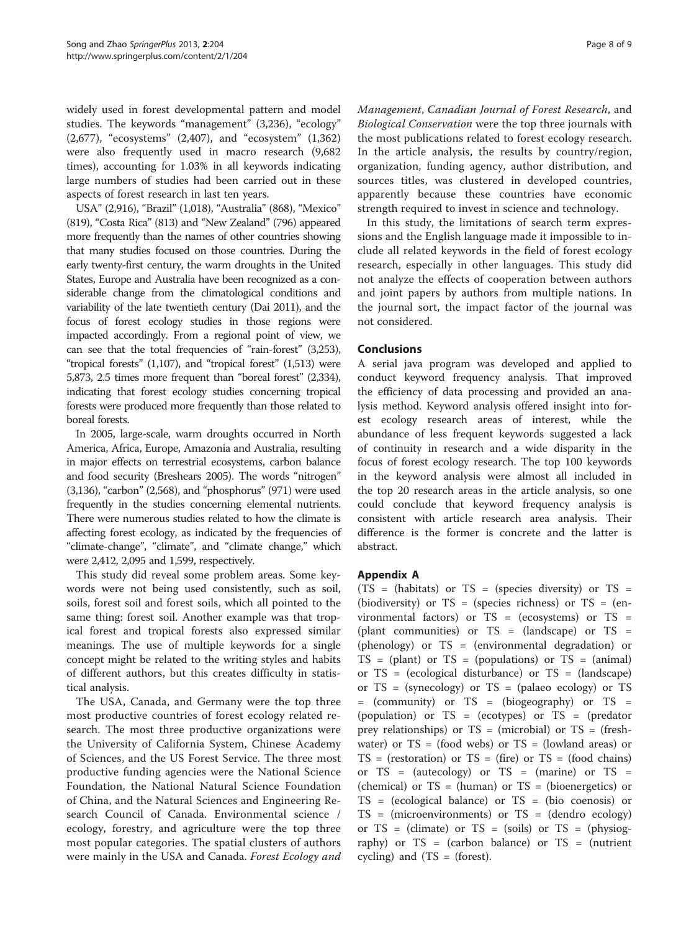widely used in forest developmental pattern and model studies. The keywords "management" (3,236), "ecology" (2,677), "ecosystems" (2,407), and "ecosystem" (1,362) were also frequently used in macro research (9,682 times), accounting for 1.03% in all keywords indicating large numbers of studies had been carried out in these aspects of forest research in last ten years.

USA" (2,916), "Brazil" (1,018), "Australia" (868), "Mexico" (819), "Costa Rica" (813) and "New Zealand" (796) appeared more frequently than the names of other countries showing that many studies focused on those countries. During the early twenty-first century, the warm droughts in the United States, Europe and Australia have been recognized as a considerable change from the climatological conditions and variability of the late twentieth century (Dai [2011\)](#page-8-0), and the focus of forest ecology studies in those regions were impacted accordingly. From a regional point of view, we can see that the total frequencies of "rain-forest" (3,253), "tropical forests"  $(1,107)$ , and "tropical forest"  $(1,513)$  were 5,873, 2.5 times more frequent than "boreal forest" (2,334), indicating that forest ecology studies concerning tropical forests were produced more frequently than those related to boreal forests.

In 2005, large-scale, warm droughts occurred in North America, Africa, Europe, Amazonia and Australia, resulting in major effects on terrestrial ecosystems, carbon balance and food security (Breshears [2005](#page-8-0)). The words "nitrogen" (3,136), "carbon" (2,568), and "phosphorus" (971) were used frequently in the studies concerning elemental nutrients. There were numerous studies related to how the climate is affecting forest ecology, as indicated by the frequencies of "climate-change", "climate", and "climate change," which were 2,412, 2,095 and 1,599, respectively.

This study did reveal some problem areas. Some keywords were not being used consistently, such as soil, soils, forest soil and forest soils, which all pointed to the same thing: forest soil. Another example was that tropical forest and tropical forests also expressed similar meanings. The use of multiple keywords for a single concept might be related to the writing styles and habits of different authors, but this creates difficulty in statistical analysis.

The USA, Canada, and Germany were the top three most productive countries of forest ecology related research. The most three productive organizations were the University of California System, Chinese Academy of Sciences, and the US Forest Service. The three most productive funding agencies were the National Science Foundation, the National Natural Science Foundation of China, and the Natural Sciences and Engineering Research Council of Canada. Environmental science / ecology, forestry, and agriculture were the top three most popular categories. The spatial clusters of authors were mainly in the USA and Canada. Forest Ecology and Management, Canadian Journal of Forest Research, and Biological Conservation were the top three journals with the most publications related to forest ecology research. In the article analysis, the results by country/region, organization, funding agency, author distribution, and sources titles, was clustered in developed countries, apparently because these countries have economic strength required to invest in science and technology.

In this study, the limitations of search term expressions and the English language made it impossible to include all related keywords in the field of forest ecology research, especially in other languages. This study did not analyze the effects of cooperation between authors and joint papers by authors from multiple nations. In the journal sort, the impact factor of the journal was not considered.

# Conclusions

A serial java program was developed and applied to conduct keyword frequency analysis. That improved the efficiency of data processing and provided an analysis method. Keyword analysis offered insight into forest ecology research areas of interest, while the abundance of less frequent keywords suggested a lack of continuity in research and a wide disparity in the focus of forest ecology research. The top 100 keywords in the keyword analysis were almost all included in the top 20 research areas in the article analysis, so one could conclude that keyword frequency analysis is consistent with article research area analysis. Their difference is the former is concrete and the latter is abstract.

# Appendix A

(TS = (habitats) or TS = (species diversity) or TS = (biodiversity) or  $TS =$  (species richness) or  $TS =$  (environmental factors) or  $TS = (ecosystems)$  or  $TS =$ (plant communities) or TS = (landscape) or TS = (phenology) or TS = (environmental degradation) or  $TS = (plant)$  or  $TS = (populations)$  or  $TS = (animal)$ or TS = (ecological disturbance) or TS = (landscape) or  $TS =$  (synecology) or  $TS =$  (palaeo ecology) or  $TS =$ = (community) or TS = (biogeography) or TS = (population) or TS = (ecotypes) or TS = (predator prey relationships) or  $TS = (microbial)$  or  $TS = (fresh$ water) or  $TS = (food webs)$  or  $TS = (lowland areas)$  or  $TS = (restoration)$  or  $TS = (fire)$  or  $TS = (food chains)$ or  $TS = (auteology)$  or  $TS = (marine)$  or  $TS =$ (chemical) or  $TS = (human)$  or  $TS = (bioenergetics)$  or TS = (ecological balance) or TS = (bio coenosis) or TS = (microenvironments) or TS = (dendro ecology) or  $TS = (climate)$  or  $TS = (soils)$  or  $TS = (physiog$ raphy) or  $TS = (carbon balance)$  or  $TS = (nutrient$ cycling) and  $(TS = (forest))$ .